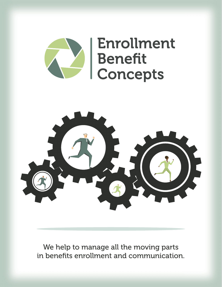



We help to manage all the moving parts in benefits enrollment and communication.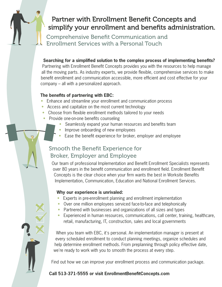# Partner with Enrollment Benefit Concepts and simplify your enrollment and benefits administration.

Comprehensive Benefit Communication and Enrollment Services with a Personal Touch

#### **Searching for a simplified solution to the complex process of implementing benefits?**

Partnering with Enrollment Benefit Concepts provides you with the resources to help manage all the moving parts. As industry experts, we provide flexible, comprehensive services to make benefit enrollment and communication accessible, more efficient and cost effective for your company – all with a personalized approach.

#### **The benefits of partnering with EBC:**

- Enhance and streamline your enrollment and communication process
- Access and capitalize on the most current technology
- Choose from flexible enrollment methods tailored to your needs
- Provide one-on-one benefits counseling
	- Seamlessly expand your human resources and benefits team
	- Improve onboarding of new employees
	- Ease the benefit experience for broker, employer and employee

## Smooth the Benefit Experience for Broker, Employer and Employee

Our team of professional Implementation and Benefit Enrollment Specialists represents over 80 years in the benefit communication and enrollment field. Enrollment Benefit Concepts is the clear choice when your firm wants the best in Worksite Benefits Implementation, Communication, Education and National Enrollment Services.

#### **Why our experience is unrivaled:**

- Experts in pre-enrollment planning and enrollment implementation
- Over one million employees serviced face-to-face and telephonically
- Partnered with businesses and organizations of all sizes and types
- Experienced in human resources, communications, call center, training, healthcare, retail, manufacturing, IT, construction, sales and local governments

When you team with EBC, it's personal. An implementation manager is present at every scheduled enrollment to conduct planning meetings, organize schedules and help determine enrollment methods. From preplanning through policy effective date, we're ready to work with you to smooth the process at every step.

Find out how we can improve your enrollment process and communication package.

### **Call 513-371-5555 or visit EnrollmentBenefitConcepts.com**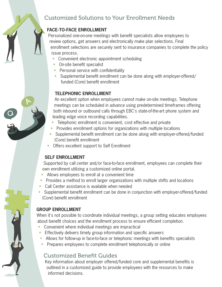# Customized Solutions to Your Enrollment Needs

## **FACE-TO-FACE ENROLLMENT**

Personalized one-on-one meetings with benefit specialists allow employees to review options, get answers and electronically make plan selections. Final enrollment selections are securely sent to insurance companies to complete the policy issue process.

- Convenient electronic appointment scheduling
- On-site benefit specialist
- Personal service with confidentiality
- Supplemental benefit enrollment can be done along with employer-offered/ funded (Core) benefit enrollment

### **TELEPHONIC ENROLLMENT**

An excellent option when employees cannot make on-site meetings. Telephone meetings can be scheduled in advance using predetermined timeframes offering both inbound or outbound calls through EBC's state-of-the-art phone system and leading edge voice recording capabilities.

- Telephonic enrollment is convenient, cost effective and private
- Provides enrollment options for organizations with multiple locations
- Supplemental benefit enrollment can be done along with employer-offered/funded (Core) benefit enrollment
- Offers excellent support to Self Enrollment

### **SELF ENROLLMENT**

Q

A

Supported by call center and/or face-to-face enrollment, employees can complete their own enrollment utilizing a customized online portal.

- Allows employees to enroll at a convenient time
- Provides a method to enroll larger organizations with multiple shifts and locations
- Call Center assistance is available when needed
- Supplemental benefit enrollment can be done in conjunction with employer-offered/funded (Core) benefit enrollment

### **GROUP ENROLLMENT**

When it's not possible to coordinate individual meetings, a group setting educates employees about benefit choices and the enrollment process to ensure efficient completion.

- Convenient where individual meetings are impractical
- Effectively delivers timely group information and specific answers
- Allows for follow-up in face-to-face or telephonic meetings with benefits specialists
- Prepares employees to complete enrollment telephonically or online

## Customized Benefit Guides

Key information about employer offered/funded core and supplemental benefits is outlined in a customized guide to provide employees with the resources to make informed decisions.